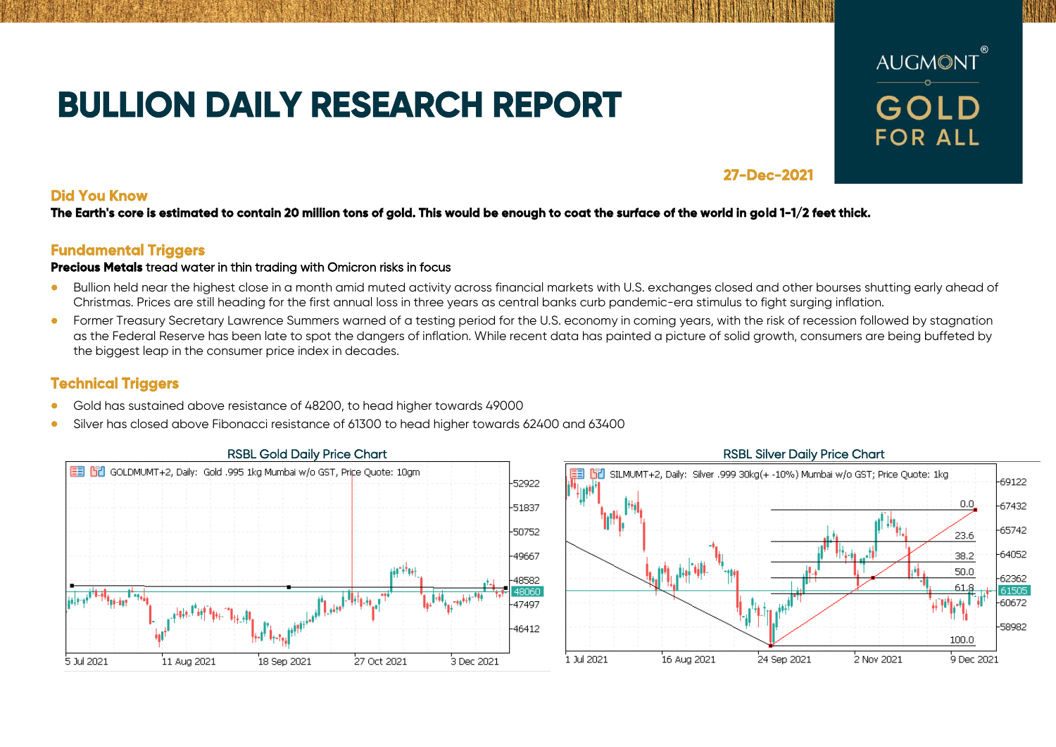# **BULLION DAILY RESEARCH REPORT**



## **27-Dec-2021**

**Did You Know** 

**The Earth's core is estimated to contain 20 million tons of gold. This would be enough to coat the surface of the world in gold 1-1/2 feet thick.** 

## **Fundamental Triggers**

### **Precious Metals** tread water in thin trading with Omicron risks in focus

- Bullion held near the highest close in a month amid muted activity across financial markets with U.S. exchanges closed and other bourses shutting early ahead of Christmas. Prices are still heading for the first annual loss in three years as central banks curb pandemic-era stimulus to fight surging inflation.
- Former Treasury Secretary Lawrence Summers warned of a testing period for the U.S. economy in coming years, with the risk of recession followed by stagnation as the Federal Reserve has been late to spot the dangers of inflation. While recent data has painted a picture of solid growth, consumers are being buffeted by the biggest leap in the consumer price index in decades.

# **Technical Triggers**

- Gold has sustained above resistance of 48200, to head higher towards 49000
- Silver has closed above Fibonacci resistance of 61300 to head higher towards 62400 and 63400